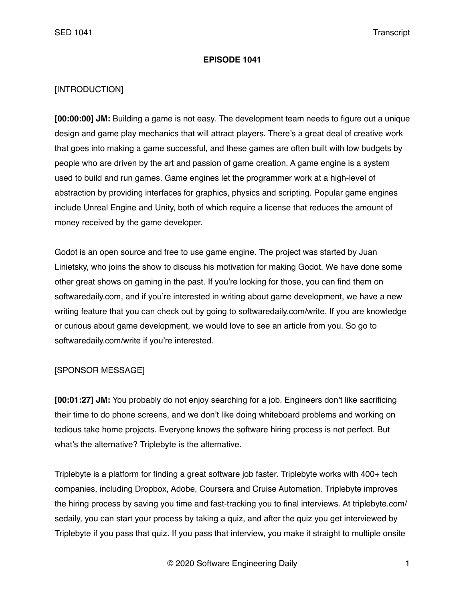#### **EPISODE 1041**

### [INTRODUCTION]

**[00:00:00] JM:** Building a game is not easy. The development team needs to figure out a unique design and game play mechanics that will attract players. There's a great deal of creative work that goes into making a game successful, and these games are often built with low budgets by people who are driven by the art and passion of game creation. A game engine is a system used to build and run games. Game engines let the programmer work at a high-level of abstraction by providing interfaces for graphics, physics and scripting. Popular game engines include Unreal Engine and Unity, both of which require a license that reduces the amount of money received by the game developer.

Godot is an open source and free to use game engine. The project was started by Juan Linietsky, who joins the show to discuss his motivation for making Godot. We have done some other great shows on gaming in the past. If you're looking for those, you can find them on softwaredaily.com, and if you're interested in writing about game development, we have a new writing feature that you can check out by going to softwaredaily.com/write. If you are knowledge or curious about game development, we would love to see an article from you. So go to softwaredaily.com/write if you're interested.

## [SPONSOR MESSAGE]

**[00:01:27] JM:** You probably do not enjoy searching for a job. Engineers don't like sacrificing their time to do phone screens, and we don't like doing whiteboard problems and working on tedious take home projects. Everyone knows the software hiring process is not perfect. But what's the alternative? Triplebyte is the alternative.

Triplebyte is a platform for finding a great software job faster. Triplebyte works with 400+ tech companies, including Dropbox, Adobe, Coursera and Cruise Automation. Triplebyte improves the hiring process by saving you time and fast-tracking you to final interviews. At triplebyte.com/ sedaily, you can start your process by taking a quiz, and after the quiz you get interviewed by Triplebyte if you pass that quiz. If you pass that interview, you make it straight to multiple onsite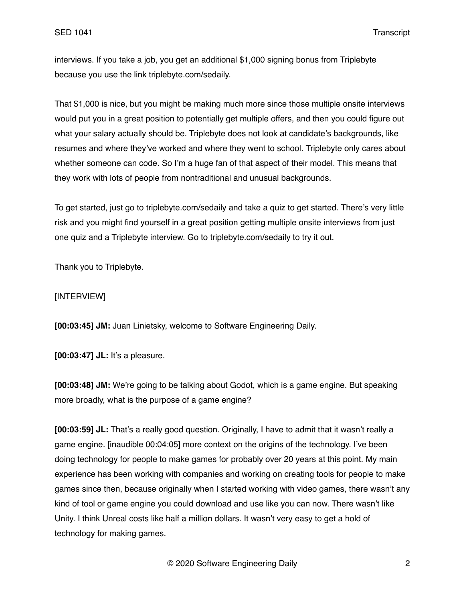interviews. If you take a job, you get an additional \$1,000 signing bonus from Triplebyte because you use the link triplebyte.com/sedaily.

That \$1,000 is nice, but you might be making much more since those multiple onsite interviews would put you in a great position to potentially get multiple offers, and then you could figure out what your salary actually should be. Triplebyte does not look at candidate's backgrounds, like resumes and where they've worked and where they went to school. Triplebyte only cares about whether someone can code. So I'm a huge fan of that aspect of their model. This means that they work with lots of people from nontraditional and unusual backgrounds.

To get started, just go to triplebyte.com/sedaily and take a quiz to get started. There's very little risk and you might find yourself in a great position getting multiple onsite interviews from just one quiz and a Triplebyte interview. Go to triplebyte.com/sedaily to try it out.

Thank you to Triplebyte.

### [INTERVIEW]

**[00:03:45] JM:** Juan Linietsky, welcome to Software Engineering Daily.

**[00:03:47] JL:** It's a pleasure.

**[00:03:48] JM:** We're going to be talking about Godot, which is a game engine. But speaking more broadly, what is the purpose of a game engine?

**[00:03:59] JL:** That's a really good question. Originally, I have to admit that it wasn't really a game engine. [inaudible 00:04:05] more context on the origins of the technology. I've been doing technology for people to make games for probably over 20 years at this point. My main experience has been working with companies and working on creating tools for people to make games since then, because originally when I started working with video games, there wasn't any kind of tool or game engine you could download and use like you can now. There wasn't like Unity. I think Unreal costs like half a million dollars. It wasn't very easy to get a hold of technology for making games.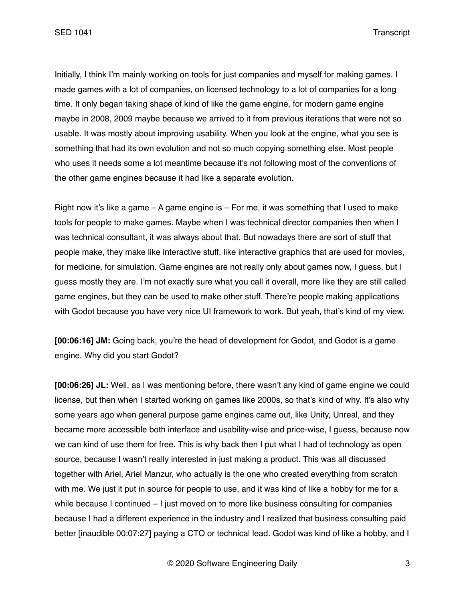SED 1041 Transcript

Initially, I think I'm mainly working on tools for just companies and myself for making games. I made games with a lot of companies, on licensed technology to a lot of companies for a long time. It only began taking shape of kind of like the game engine, for modern game engine maybe in 2008, 2009 maybe because we arrived to it from previous iterations that were not so usable. It was mostly about improving usability. When you look at the engine, what you see is something that had its own evolution and not so much copying something else. Most people who uses it needs some a lot meantime because it's not following most of the conventions of the other game engines because it had like a separate evolution.

Right now it's like a game – A game engine is – For me, it was something that I used to make tools for people to make games. Maybe when I was technical director companies then when I was technical consultant, it was always about that. But nowadays there are sort of stuff that people make, they make like interactive stuff, like interactive graphics that are used for movies, for medicine, for simulation. Game engines are not really only about games now, I guess, but I guess mostly they are. I'm not exactly sure what you call it overall, more like they are still called game engines, but they can be used to make other stuff. There're people making applications with Godot because you have very nice UI framework to work. But yeah, that's kind of my view.

**[00:06:16] JM:** Going back, you're the head of development for Godot, and Godot is a game engine. Why did you start Godot?

**[00:06:26] JL:** Well, as I was mentioning before, there wasn't any kind of game engine we could license, but then when I started working on games like 2000s, so that's kind of why. It's also why some years ago when general purpose game engines came out, like Unity, Unreal, and they became more accessible both interface and usability-wise and price-wise, I guess, because now we can kind of use them for free. This is why back then I put what I had of technology as open source, because I wasn't really interested in just making a product. This was all discussed together with Ariel, Ariel Manzur, who actually is the one who created everything from scratch with me. We just it put in source for people to use, and it was kind of like a hobby for me for a while because I continued – I just moved on to more like business consulting for companies because I had a different experience in the industry and I realized that business consulting paid better [inaudible 00:07:27] paying a CTO or technical lead. Godot was kind of like a hobby, and I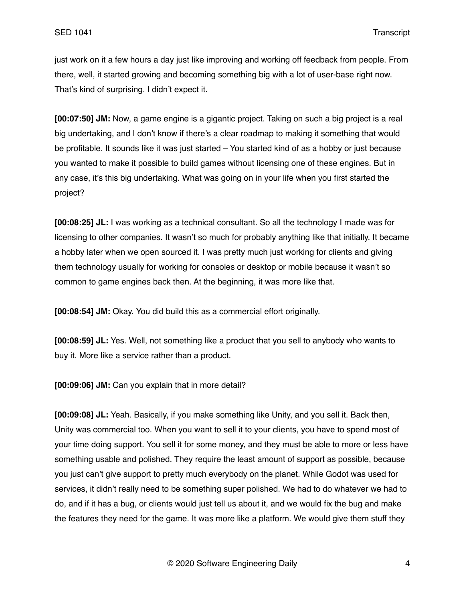just work on it a few hours a day just like improving and working off feedback from people. From there, well, it started growing and becoming something big with a lot of user-base right now. That's kind of surprising. I didn't expect it.

**[00:07:50] JM:** Now, a game engine is a gigantic project. Taking on such a big project is a real big undertaking, and I don't know if there's a clear roadmap to making it something that would be profitable. It sounds like it was just started – You started kind of as a hobby or just because you wanted to make it possible to build games without licensing one of these engines. But in any case, it's this big undertaking. What was going on in your life when you first started the project?

**[00:08:25] JL:** I was working as a technical consultant. So all the technology I made was for licensing to other companies. It wasn't so much for probably anything like that initially. It became a hobby later when we open sourced it. I was pretty much just working for clients and giving them technology usually for working for consoles or desktop or mobile because it wasn't so common to game engines back then. At the beginning, it was more like that.

**[00:08:54] JM:** Okay. You did build this as a commercial effort originally.

**[00:08:59] JL:** Yes. Well, not something like a product that you sell to anybody who wants to buy it. More like a service rather than a product.

**[00:09:06] JM:** Can you explain that in more detail?

**[00:09:08] JL:** Yeah. Basically, if you make something like Unity, and you sell it. Back then, Unity was commercial too. When you want to sell it to your clients, you have to spend most of your time doing support. You sell it for some money, and they must be able to more or less have something usable and polished. They require the least amount of support as possible, because you just can't give support to pretty much everybody on the planet. While Godot was used for services, it didn't really need to be something super polished. We had to do whatever we had to do, and if it has a bug, or clients would just tell us about it, and we would fix the bug and make the features they need for the game. It was more like a platform. We would give them stuff they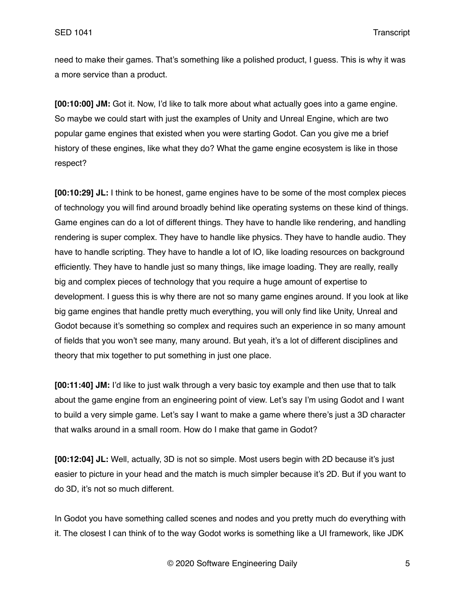need to make their games. That's something like a polished product, I guess. This is why it was a more service than a product.

**[00:10:00] JM:** Got it. Now, I'd like to talk more about what actually goes into a game engine. So maybe we could start with just the examples of Unity and Unreal Engine, which are two popular game engines that existed when you were starting Godot. Can you give me a brief history of these engines, like what they do? What the game engine ecosystem is like in those respect?

**[00:10:29] JL:** I think to be honest, game engines have to be some of the most complex pieces of technology you will find around broadly behind like operating systems on these kind of things. Game engines can do a lot of different things. They have to handle like rendering, and handling rendering is super complex. They have to handle like physics. They have to handle audio. They have to handle scripting. They have to handle a lot of IO, like loading resources on background efficiently. They have to handle just so many things, like image loading. They are really, really big and complex pieces of technology that you require a huge amount of expertise to development. I guess this is why there are not so many game engines around. If you look at like big game engines that handle pretty much everything, you will only find like Unity, Unreal and Godot because it's something so complex and requires such an experience in so many amount of fields that you won't see many, many around. But yeah, it's a lot of different disciplines and theory that mix together to put something in just one place.

**[00:11:40] JM:** I'd like to just walk through a very basic toy example and then use that to talk about the game engine from an engineering point of view. Let's say I'm using Godot and I want to build a very simple game. Let's say I want to make a game where there's just a 3D character that walks around in a small room. How do I make that game in Godot?

**[00:12:04] JL:** Well, actually, 3D is not so simple. Most users begin with 2D because it's just easier to picture in your head and the match is much simpler because it's 2D. But if you want to do 3D, it's not so much different.

In Godot you have something called scenes and nodes and you pretty much do everything with it. The closest I can think of to the way Godot works is something like a UI framework, like JDK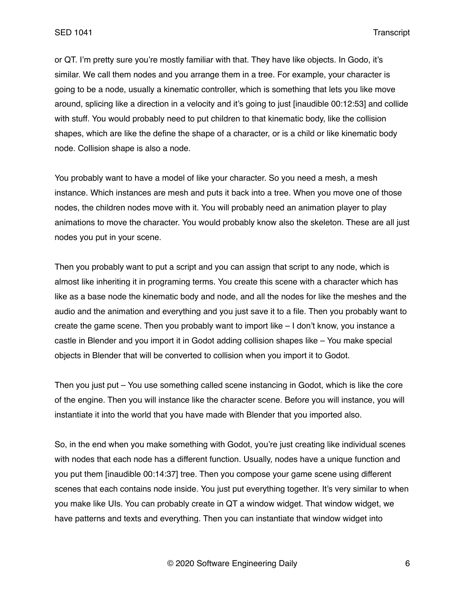or QT. I'm pretty sure you're mostly familiar with that. They have like objects. In Godo, it's similar. We call them nodes and you arrange them in a tree. For example, your character is going to be a node, usually a kinematic controller, which is something that lets you like move around, splicing like a direction in a velocity and it's going to just [inaudible 00:12:53] and collide with stuff. You would probably need to put children to that kinematic body, like the collision shapes, which are like the define the shape of a character, or is a child or like kinematic body node. Collision shape is also a node.

You probably want to have a model of like your character. So you need a mesh, a mesh instance. Which instances are mesh and puts it back into a tree. When you move one of those nodes, the children nodes move with it. You will probably need an animation player to play animations to move the character. You would probably know also the skeleton. These are all just nodes you put in your scene.

Then you probably want to put a script and you can assign that script to any node, which is almost like inheriting it in programing terms. You create this scene with a character which has like as a base node the kinematic body and node, and all the nodes for like the meshes and the audio and the animation and everything and you just save it to a file. Then you probably want to create the game scene. Then you probably want to import like – I don't know, you instance a castle in Blender and you import it in Godot adding collision shapes like – You make special objects in Blender that will be converted to collision when you import it to Godot.

Then you just put – You use something called scene instancing in Godot, which is like the core of the engine. Then you will instance like the character scene. Before you will instance, you will instantiate it into the world that you have made with Blender that you imported also.

So, in the end when you make something with Godot, you're just creating like individual scenes with nodes that each node has a different function. Usually, nodes have a unique function and you put them [inaudible 00:14:37] tree. Then you compose your game scene using different scenes that each contains node inside. You just put everything together. It's very similar to when you make like UIs. You can probably create in QT a window widget. That window widget, we have patterns and texts and everything. Then you can instantiate that window widget into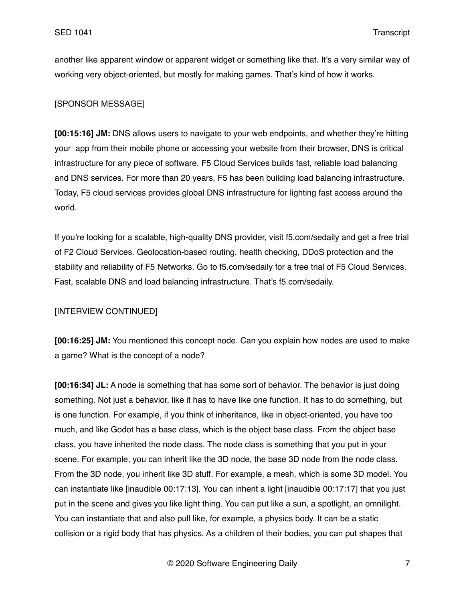another like apparent window or apparent widget or something like that. It's a very similar way of working very object-oriented, but mostly for making games. That's kind of how it works.

# [SPONSOR MESSAGE]

**[00:15:16] JM:** DNS allows users to navigate to your web endpoints, and whether they're hitting your app from their mobile phone or accessing your website from their browser, DNS is critical infrastructure for any piece of software. F5 Cloud Services builds fast, reliable load balancing and DNS services. For more than 20 years, F5 has been building load balancing infrastructure. Today, F5 cloud services provides global DNS infrastructure for lighting fast access around the world.

If you're looking for a scalable, high-quality DNS provider, visit f5.com/sedaily and get a free trial of F2 Cloud Services. Geolocation-based routing, health checking, DDoS protection and the stability and reliability of F5 Networks. Go to f5.com/sedaily for a free trial of F5 Cloud Services. Fast, scalable DNS and load balancing infrastructure. That's f5.com/sedaily.

## [INTERVIEW CONTINUED]

**[00:16:25] JM:** You mentioned this concept node. Can you explain how nodes are used to make a game? What is the concept of a node?

**[00:16:34] JL:** A node is something that has some sort of behavior. The behavior is just doing something. Not just a behavior, like it has to have like one function. It has to do something, but is one function. For example, if you think of inheritance, like in object-oriented, you have too much, and like Godot has a base class, which is the object base class. From the object base class, you have inherited the node class. The node class is something that you put in your scene. For example, you can inherit like the 3D node, the base 3D node from the node class. From the 3D node, you inherit like 3D stuff. For example, a mesh, which is some 3D model. You can instantiate like [inaudible 00:17:13]. You can inherit a light [inaudible 00:17:17] that you just put in the scene and gives you like light thing. You can put like a sun, a spotlight, an omnilight. You can instantiate that and also pull like, for example, a physics body. It can be a static collision or a rigid body that has physics. As a children of their bodies, you can put shapes that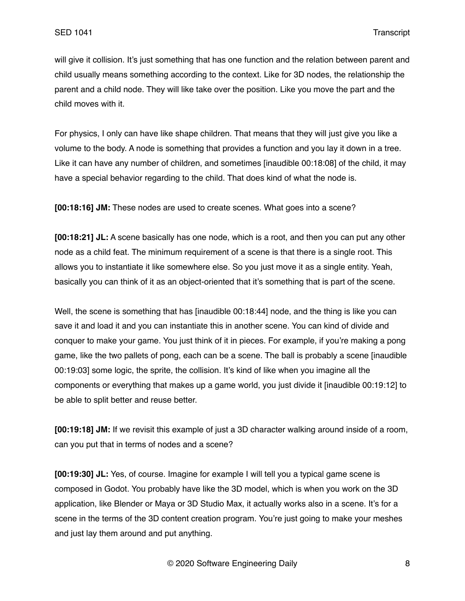will give it collision. It's just something that has one function and the relation between parent and child usually means something according to the context. Like for 3D nodes, the relationship the parent and a child node. They will like take over the position. Like you move the part and the child moves with it.

For physics, I only can have like shape children. That means that they will just give you like a volume to the body. A node is something that provides a function and you lay it down in a tree. Like it can have any number of children, and sometimes [inaudible 00:18:08] of the child, it may have a special behavior regarding to the child. That does kind of what the node is.

**[00:18:16] JM:** These nodes are used to create scenes. What goes into a scene?

**[00:18:21] JL:** A scene basically has one node, which is a root, and then you can put any other node as a child feat. The minimum requirement of a scene is that there is a single root. This allows you to instantiate it like somewhere else. So you just move it as a single entity. Yeah, basically you can think of it as an object-oriented that it's something that is part of the scene.

Well, the scene is something that has [inaudible 00:18:44] node, and the thing is like you can save it and load it and you can instantiate this in another scene. You can kind of divide and conquer to make your game. You just think of it in pieces. For example, if you're making a pong game, like the two pallets of pong, each can be a scene. The ball is probably a scene [inaudible 00:19:03] some logic, the sprite, the collision. It's kind of like when you imagine all the components or everything that makes up a game world, you just divide it [inaudible 00:19:12] to be able to split better and reuse better.

**[00:19:18] JM:** If we revisit this example of just a 3D character walking around inside of a room, can you put that in terms of nodes and a scene?

**[00:19:30] JL:** Yes, of course. Imagine for example I will tell you a typical game scene is composed in Godot. You probably have like the 3D model, which is when you work on the 3D application, like Blender or Maya or 3D Studio Max, it actually works also in a scene. It's for a scene in the terms of the 3D content creation program. You're just going to make your meshes and just lay them around and put anything.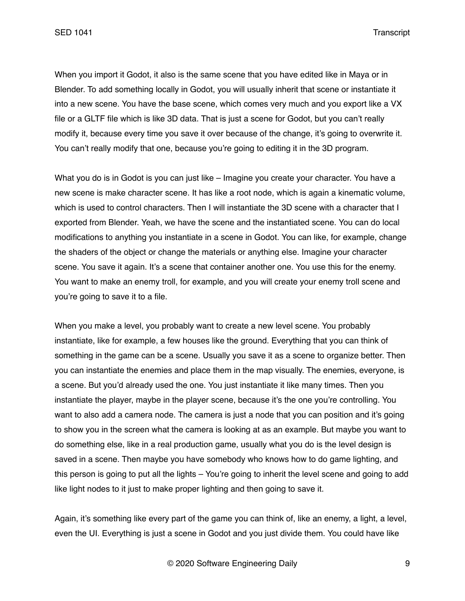When you import it Godot, it also is the same scene that you have edited like in Maya or in Blender. To add something locally in Godot, you will usually inherit that scene or instantiate it into a new scene. You have the base scene, which comes very much and you export like a VX file or a GLTF file which is like 3D data. That is just a scene for Godot, but you can't really modify it, because every time you save it over because of the change, it's going to overwrite it. You can't really modify that one, because you're going to editing it in the 3D program.

What you do is in Godot is you can just like – Imagine you create your character. You have a new scene is make character scene. It has like a root node, which is again a kinematic volume, which is used to control characters. Then I will instantiate the 3D scene with a character that I exported from Blender. Yeah, we have the scene and the instantiated scene. You can do local modifications to anything you instantiate in a scene in Godot. You can like, for example, change the shaders of the object or change the materials or anything else. Imagine your character scene. You save it again. It's a scene that container another one. You use this for the enemy. You want to make an enemy troll, for example, and you will create your enemy troll scene and you're going to save it to a file.

When you make a level, you probably want to create a new level scene. You probably instantiate, like for example, a few houses like the ground. Everything that you can think of something in the game can be a scene. Usually you save it as a scene to organize better. Then you can instantiate the enemies and place them in the map visually. The enemies, everyone, is a scene. But you'd already used the one. You just instantiate it like many times. Then you instantiate the player, maybe in the player scene, because it's the one you're controlling. You want to also add a camera node. The camera is just a node that you can position and it's going to show you in the screen what the camera is looking at as an example. But maybe you want to do something else, like in a real production game, usually what you do is the level design is saved in a scene. Then maybe you have somebody who knows how to do game lighting, and this person is going to put all the lights – You're going to inherit the level scene and going to add like light nodes to it just to make proper lighting and then going to save it.

Again, it's something like every part of the game you can think of, like an enemy, a light, a level, even the UI. Everything is just a scene in Godot and you just divide them. You could have like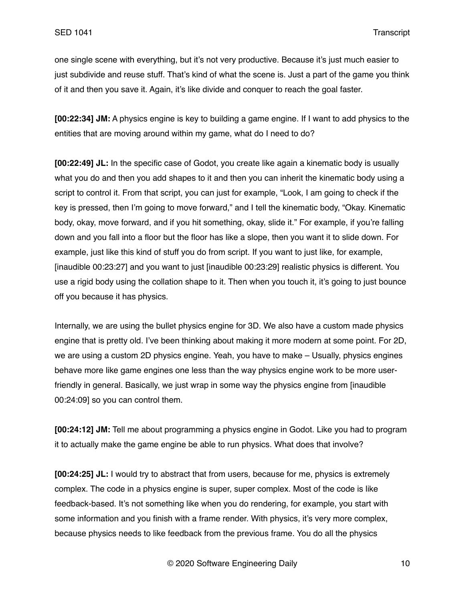one single scene with everything, but it's not very productive. Because it's just much easier to just subdivide and reuse stuff. That's kind of what the scene is. Just a part of the game you think of it and then you save it. Again, it's like divide and conquer to reach the goal faster.

**[00:22:34] JM:** A physics engine is key to building a game engine. If I want to add physics to the entities that are moving around within my game, what do I need to do?

**[00:22:49] JL:** In the specific case of Godot, you create like again a kinematic body is usually what you do and then you add shapes to it and then you can inherit the kinematic body using a script to control it. From that script, you can just for example, "Look, I am going to check if the key is pressed, then I'm going to move forward," and I tell the kinematic body, "Okay. Kinematic body, okay, move forward, and if you hit something, okay, slide it." For example, if you're falling down and you fall into a floor but the floor has like a slope, then you want it to slide down. For example, just like this kind of stuff you do from script. If you want to just like, for example, [inaudible 00:23:27] and you want to just [inaudible 00:23:29] realistic physics is different. You use a rigid body using the collation shape to it. Then when you touch it, it's going to just bounce off you because it has physics.

Internally, we are using the bullet physics engine for 3D. We also have a custom made physics engine that is pretty old. I've been thinking about making it more modern at some point. For 2D, we are using a custom 2D physics engine. Yeah, you have to make – Usually, physics engines behave more like game engines one less than the way physics engine work to be more userfriendly in general. Basically, we just wrap in some way the physics engine from [inaudible 00:24:09] so you can control them.

**[00:24:12] JM:** Tell me about programming a physics engine in Godot. Like you had to program it to actually make the game engine be able to run physics. What does that involve?

**[00:24:25] JL:** I would try to abstract that from users, because for me, physics is extremely complex. The code in a physics engine is super, super complex. Most of the code is like feedback-based. It's not something like when you do rendering, for example, you start with some information and you finish with a frame render. With physics, it's very more complex, because physics needs to like feedback from the previous frame. You do all the physics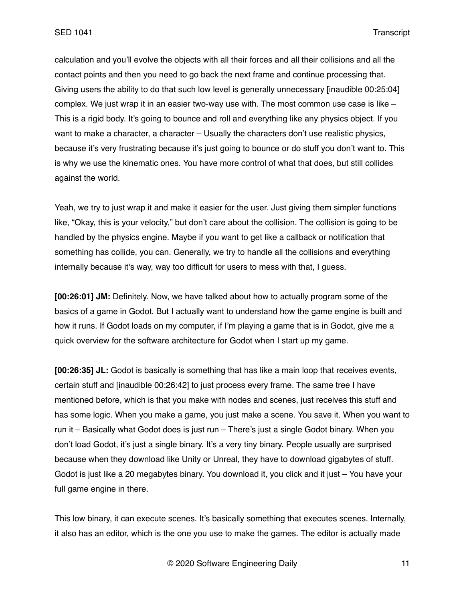calculation and you'll evolve the objects with all their forces and all their collisions and all the contact points and then you need to go back the next frame and continue processing that. Giving users the ability to do that such low level is generally unnecessary [inaudible 00:25:04] complex. We just wrap it in an easier two-way use with. The most common use case is like – This is a rigid body. It's going to bounce and roll and everything like any physics object. If you want to make a character, a character – Usually the characters don't use realistic physics, because it's very frustrating because it's just going to bounce or do stuff you don't want to. This is why we use the kinematic ones. You have more control of what that does, but still collides against the world.

Yeah, we try to just wrap it and make it easier for the user. Just giving them simpler functions like, "Okay, this is your velocity," but don't care about the collision. The collision is going to be handled by the physics engine. Maybe if you want to get like a callback or notification that something has collide, you can. Generally, we try to handle all the collisions and everything internally because it's way, way too difficult for users to mess with that, I guess.

**[00:26:01] JM:** Definitely. Now, we have talked about how to actually program some of the basics of a game in Godot. But I actually want to understand how the game engine is built and how it runs. If Godot loads on my computer, if I'm playing a game that is in Godot, give me a quick overview for the software architecture for Godot when I start up my game.

**[00:26:35] JL:** Godot is basically is something that has like a main loop that receives events, certain stuff and [inaudible 00:26:42] to just process every frame. The same tree I have mentioned before, which is that you make with nodes and scenes, just receives this stuff and has some logic. When you make a game, you just make a scene. You save it. When you want to run it – Basically what Godot does is just run – There's just a single Godot binary. When you don't load Godot, it's just a single binary. It's a very tiny binary. People usually are surprised because when they download like Unity or Unreal, they have to download gigabytes of stuff. Godot is just like a 20 megabytes binary. You download it, you click and it just – You have your full game engine in there.

This low binary, it can execute scenes. It's basically something that executes scenes. Internally, it also has an editor, which is the one you use to make the games. The editor is actually made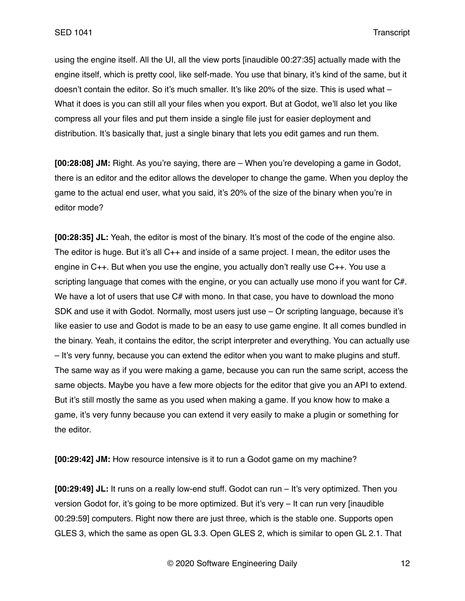using the engine itself. All the UI, all the view ports [inaudible 00:27:35] actually made with the engine itself, which is pretty cool, like self-made. You use that binary, it's kind of the same, but it doesn't contain the editor. So it's much smaller. It's like 20% of the size. This is used what -What it does is you can still all your files when you export. But at Godot, we'll also let you like compress all your files and put them inside a single file just for easier deployment and distribution. It's basically that, just a single binary that lets you edit games and run them.

**[00:28:08] JM:** Right. As you're saying, there are – When you're developing a game in Godot, there is an editor and the editor allows the developer to change the game. When you deploy the game to the actual end user, what you said, it's 20% of the size of the binary when you're in editor mode?

**[00:28:35] JL:** Yeah, the editor is most of the binary. It's most of the code of the engine also. The editor is huge. But it's all C++ and inside of a same project. I mean, the editor uses the engine in C++. But when you use the engine, you actually don't really use C++. You use a scripting language that comes with the engine, or you can actually use mono if you want for C#. We have a lot of users that use  $C#$  with mono. In that case, you have to download the mono SDK and use it with Godot. Normally, most users just use – Or scripting language, because it's like easier to use and Godot is made to be an easy to use game engine. It all comes bundled in the binary. Yeah, it contains the editor, the script interpreter and everything. You can actually use – It's very funny, because you can extend the editor when you want to make plugins and stuff. The same way as if you were making a game, because you can run the same script, access the same objects. Maybe you have a few more objects for the editor that give you an API to extend. But it's still mostly the same as you used when making a game. If you know how to make a game, it's very funny because you can extend it very easily to make a plugin or something for the editor.

**[00:29:42] JM:** How resource intensive is it to run a Godot game on my machine?

**[00:29:49] JL:** It runs on a really low-end stuff. Godot can run – It's very optimized. Then you version Godot for, it's going to be more optimized. But it's very – It can run very [inaudible 00:29:59] computers. Right now there are just three, which is the stable one. Supports open GLES 3, which the same as open GL 3.3. Open GLES 2, which is similar to open GL 2.1. That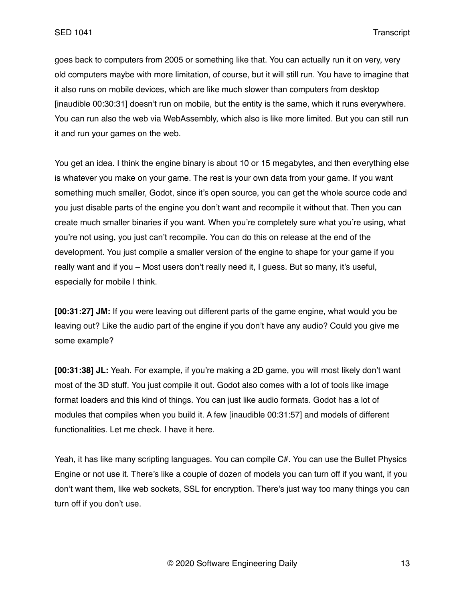goes back to computers from 2005 or something like that. You can actually run it on very, very old computers maybe with more limitation, of course, but it will still run. You have to imagine that it also runs on mobile devices, which are like much slower than computers from desktop [inaudible 00:30:31] doesn't run on mobile, but the entity is the same, which it runs everywhere. You can run also the web via WebAssembly, which also is like more limited. But you can still run it and run your games on the web.

You get an idea. I think the engine binary is about 10 or 15 megabytes, and then everything else is whatever you make on your game. The rest is your own data from your game. If you want something much smaller, Godot, since it's open source, you can get the whole source code and you just disable parts of the engine you don't want and recompile it without that. Then you can create much smaller binaries if you want. When you're completely sure what you're using, what you're not using, you just can't recompile. You can do this on release at the end of the development. You just compile a smaller version of the engine to shape for your game if you really want and if you – Most users don't really need it, I guess. But so many, it's useful, especially for mobile I think.

**[00:31:27] JM:** If you were leaving out different parts of the game engine, what would you be leaving out? Like the audio part of the engine if you don't have any audio? Could you give me some example?

**[00:31:38] JL:** Yeah. For example, if you're making a 2D game, you will most likely don't want most of the 3D stuff. You just compile it out. Godot also comes with a lot of tools like image format loaders and this kind of things. You can just like audio formats. Godot has a lot of modules that compiles when you build it. A few [inaudible 00:31:57] and models of different functionalities. Let me check. I have it here.

Yeah, it has like many scripting languages. You can compile C#. You can use the Bullet Physics Engine or not use it. There's like a couple of dozen of models you can turn off if you want, if you don't want them, like web sockets, SSL for encryption. There's just way too many things you can turn off if you don't use.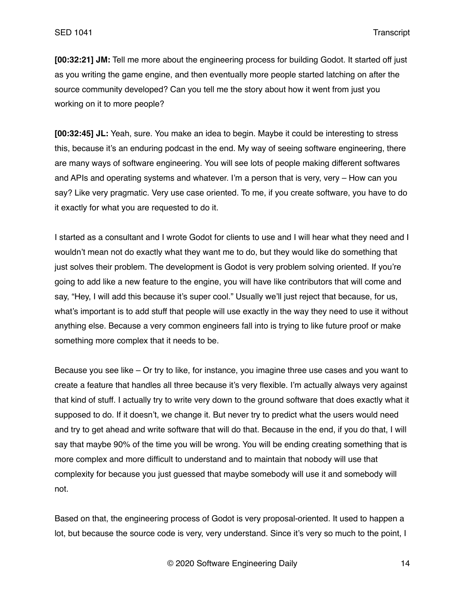**[00:32:21] JM:** Tell me more about the engineering process for building Godot. It started off just as you writing the game engine, and then eventually more people started latching on after the source community developed? Can you tell me the story about how it went from just you working on it to more people?

**[00:32:45] JL:** Yeah, sure. You make an idea to begin. Maybe it could be interesting to stress this, because it's an enduring podcast in the end. My way of seeing software engineering, there are many ways of software engineering. You will see lots of people making different softwares and APIs and operating systems and whatever. I'm a person that is very, very – How can you say? Like very pragmatic. Very use case oriented. To me, if you create software, you have to do it exactly for what you are requested to do it.

I started as a consultant and I wrote Godot for clients to use and I will hear what they need and I wouldn't mean not do exactly what they want me to do, but they would like do something that just solves their problem. The development is Godot is very problem solving oriented. If you're going to add like a new feature to the engine, you will have like contributors that will come and say, "Hey, I will add this because it's super cool." Usually we'll just reject that because, for us, what's important is to add stuff that people will use exactly in the way they need to use it without anything else. Because a very common engineers fall into is trying to like future proof or make something more complex that it needs to be.

Because you see like – Or try to like, for instance, you imagine three use cases and you want to create a feature that handles all three because it's very flexible. I'm actually always very against that kind of stuff. I actually try to write very down to the ground software that does exactly what it supposed to do. If it doesn't, we change it. But never try to predict what the users would need and try to get ahead and write software that will do that. Because in the end, if you do that, I will say that maybe 90% of the time you will be wrong. You will be ending creating something that is more complex and more difficult to understand and to maintain that nobody will use that complexity for because you just guessed that maybe somebody will use it and somebody will not.

Based on that, the engineering process of Godot is very proposal-oriented. It used to happen a lot, but because the source code is very, very understand. Since it's very so much to the point, I

© 2020 Software Engineering Daily 14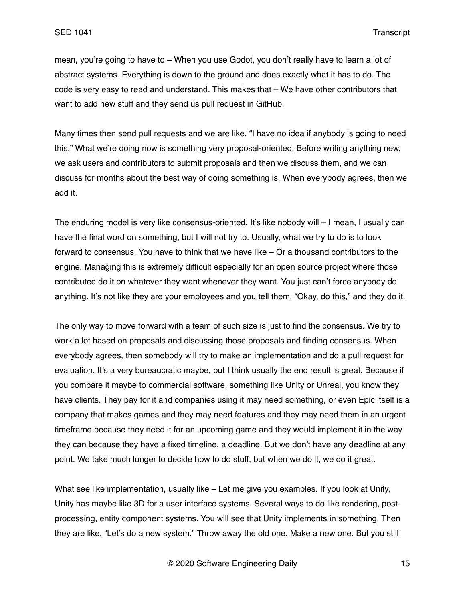mean, you're going to have to – When you use Godot, you don't really have to learn a lot of abstract systems. Everything is down to the ground and does exactly what it has to do. The code is very easy to read and understand. This makes that – We have other contributors that want to add new stuff and they send us pull request in GitHub.

Many times then send pull requests and we are like, "I have no idea if anybody is going to need this." What we're doing now is something very proposal-oriented. Before writing anything new, we ask users and contributors to submit proposals and then we discuss them, and we can discuss for months about the best way of doing something is. When everybody agrees, then we add it.

The enduring model is very like consensus-oriented. It's like nobody will – I mean, I usually can have the final word on something, but I will not try to. Usually, what we try to do is to look forward to consensus. You have to think that we have like – Or a thousand contributors to the engine. Managing this is extremely difficult especially for an open source project where those contributed do it on whatever they want whenever they want. You just can't force anybody do anything. It's not like they are your employees and you tell them, "Okay, do this," and they do it.

The only way to move forward with a team of such size is just to find the consensus. We try to work a lot based on proposals and discussing those proposals and finding consensus. When everybody agrees, then somebody will try to make an implementation and do a pull request for evaluation. It's a very bureaucratic maybe, but I think usually the end result is great. Because if you compare it maybe to commercial software, something like Unity or Unreal, you know they have clients. They pay for it and companies using it may need something, or even Epic itself is a company that makes games and they may need features and they may need them in an urgent timeframe because they need it for an upcoming game and they would implement it in the way they can because they have a fixed timeline, a deadline. But we don't have any deadline at any point. We take much longer to decide how to do stuff, but when we do it, we do it great.

What see like implementation, usually like – Let me give you examples. If you look at Unity, Unity has maybe like 3D for a user interface systems. Several ways to do like rendering, postprocessing, entity component systems. You will see that Unity implements in something. Then they are like, "Let's do a new system." Throw away the old one. Make a new one. But you still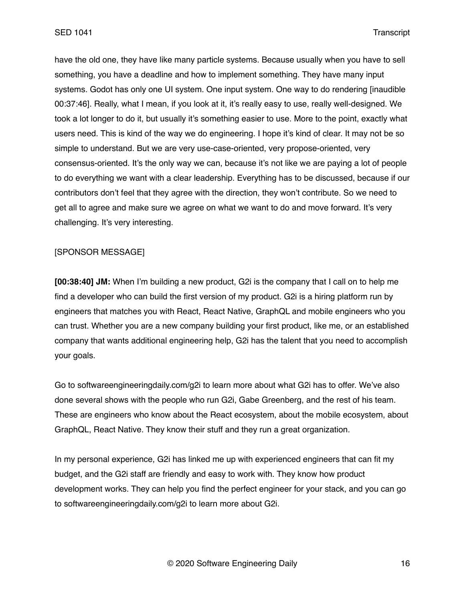have the old one, they have like many particle systems. Because usually when you have to sell something, you have a deadline and how to implement something. They have many input systems. Godot has only one UI system. One input system. One way to do rendering [inaudible] 00:37:46]. Really, what I mean, if you look at it, it's really easy to use, really well-designed. We took a lot longer to do it, but usually it's something easier to use. More to the point, exactly what users need. This is kind of the way we do engineering. I hope it's kind of clear. It may not be so simple to understand. But we are very use-case-oriented, very propose-oriented, very consensus-oriented. It's the only way we can, because it's not like we are paying a lot of people to do everything we want with a clear leadership. Everything has to be discussed, because if our contributors don't feel that they agree with the direction, they won't contribute. So we need to get all to agree and make sure we agree on what we want to do and move forward. It's very challenging. It's very interesting.

## [SPONSOR MESSAGE]

**[00:38:40] JM:** When I'm building a new product, G2i is the company that I call on to help me find a developer who can build the first version of my product. G2i is a hiring platform run by engineers that matches you with React, React Native, GraphQL and mobile engineers who you can trust. Whether you are a new company building your first product, like me, or an established company that wants additional engineering help, G2i has the talent that you need to accomplish your goals.

Go to softwareengineeringdaily.com/g2i to learn more about what G2i has to offer. We've also done several shows with the people who run G2i, Gabe Greenberg, and the rest of his team. These are engineers who know about the React ecosystem, about the mobile ecosystem, about GraphQL, React Native. They know their stuff and they run a great organization.

In my personal experience, G2i has linked me up with experienced engineers that can fit my budget, and the G2i staff are friendly and easy to work with. They know how product development works. They can help you find the perfect engineer for your stack, and you can go to softwareengineeringdaily.com/g2i to learn more about G2i.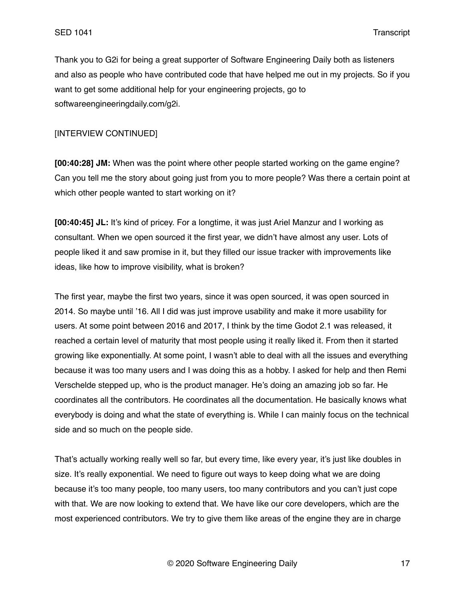Thank you to G2i for being a great supporter of Software Engineering Daily both as listeners and also as people who have contributed code that have helped me out in my projects. So if you want to get some additional help for your engineering projects, go to softwareengineeringdaily.com/g2i.

# [INTERVIEW CONTINUED]

**[00:40:28] JM:** When was the point where other people started working on the game engine? Can you tell me the story about going just from you to more people? Was there a certain point at which other people wanted to start working on it?

**[00:40:45] JL:** It's kind of pricey. For a longtime, it was just Ariel Manzur and I working as consultant. When we open sourced it the first year, we didn't have almost any user. Lots of people liked it and saw promise in it, but they filled our issue tracker with improvements like ideas, like how to improve visibility, what is broken?

The first year, maybe the first two years, since it was open sourced, it was open sourced in 2014. So maybe until '16. All I did was just improve usability and make it more usability for users. At some point between 2016 and 2017, I think by the time Godot 2.1 was released, it reached a certain level of maturity that most people using it really liked it. From then it started growing like exponentially. At some point, I wasn't able to deal with all the issues and everything because it was too many users and I was doing this as a hobby. I asked for help and then Remi Verschelde stepped up, who is the product manager. He's doing an amazing job so far. He coordinates all the contributors. He coordinates all the documentation. He basically knows what everybody is doing and what the state of everything is. While I can mainly focus on the technical side and so much on the people side.

That's actually working really well so far, but every time, like every year, it's just like doubles in size. It's really exponential. We need to figure out ways to keep doing what we are doing because it's too many people, too many users, too many contributors and you can't just cope with that. We are now looking to extend that. We have like our core developers, which are the most experienced contributors. We try to give them like areas of the engine they are in charge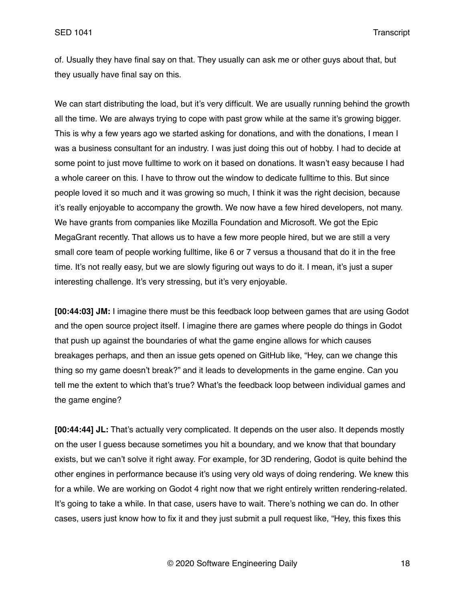of. Usually they have final say on that. They usually can ask me or other guys about that, but they usually have final say on this.

We can start distributing the load, but it's very difficult. We are usually running behind the growth all the time. We are always trying to cope with past grow while at the same it's growing bigger. This is why a few years ago we started asking for donations, and with the donations, I mean I was a business consultant for an industry. I was just doing this out of hobby. I had to decide at some point to just move fulltime to work on it based on donations. It wasn't easy because I had a whole career on this. I have to throw out the window to dedicate fulltime to this. But since people loved it so much and it was growing so much, I think it was the right decision, because it's really enjoyable to accompany the growth. We now have a few hired developers, not many. We have grants from companies like Mozilla Foundation and Microsoft. We got the Epic MegaGrant recently. That allows us to have a few more people hired, but we are still a very small core team of people working fulltime, like 6 or 7 versus a thousand that do it in the free time. It's not really easy, but we are slowly figuring out ways to do it. I mean, it's just a super interesting challenge. It's very stressing, but it's very enjoyable.

**[00:44:03] JM:** I imagine there must be this feedback loop between games that are using Godot and the open source project itself. I imagine there are games where people do things in Godot that push up against the boundaries of what the game engine allows for which causes breakages perhaps, and then an issue gets opened on GitHub like, "Hey, can we change this thing so my game doesn't break?" and it leads to developments in the game engine. Can you tell me the extent to which that's true? What's the feedback loop between individual games and the game engine?

**[00:44:44] JL:** That's actually very complicated. It depends on the user also. It depends mostly on the user I guess because sometimes you hit a boundary, and we know that that boundary exists, but we can't solve it right away. For example, for 3D rendering, Godot is quite behind the other engines in performance because it's using very old ways of doing rendering. We knew this for a while. We are working on Godot 4 right now that we right entirely written rendering-related. It's going to take a while. In that case, users have to wait. There's nothing we can do. In other cases, users just know how to fix it and they just submit a pull request like, "Hey, this fixes this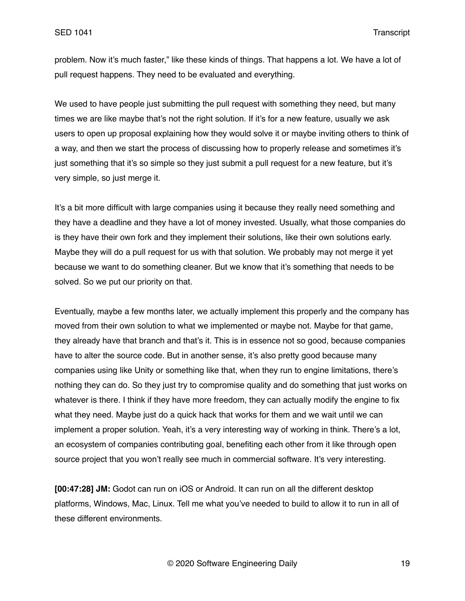problem. Now it's much faster," like these kinds of things. That happens a lot. We have a lot of pull request happens. They need to be evaluated and everything.

We used to have people just submitting the pull request with something they need, but many times we are like maybe that's not the right solution. If it's for a new feature, usually we ask users to open up proposal explaining how they would solve it or maybe inviting others to think of a way, and then we start the process of discussing how to properly release and sometimes it's just something that it's so simple so they just submit a pull request for a new feature, but it's very simple, so just merge it.

It's a bit more difficult with large companies using it because they really need something and they have a deadline and they have a lot of money invested. Usually, what those companies do is they have their own fork and they implement their solutions, like their own solutions early. Maybe they will do a pull request for us with that solution. We probably may not merge it yet because we want to do something cleaner. But we know that it's something that needs to be solved. So we put our priority on that.

Eventually, maybe a few months later, we actually implement this properly and the company has moved from their own solution to what we implemented or maybe not. Maybe for that game, they already have that branch and that's it. This is in essence not so good, because companies have to alter the source code. But in another sense, it's also pretty good because many companies using like Unity or something like that, when they run to engine limitations, there's nothing they can do. So they just try to compromise quality and do something that just works on whatever is there. I think if they have more freedom, they can actually modify the engine to fix what they need. Maybe just do a quick hack that works for them and we wait until we can implement a proper solution. Yeah, it's a very interesting way of working in think. There's a lot, an ecosystem of companies contributing goal, benefiting each other from it like through open source project that you won't really see much in commercial software. It's very interesting.

**[00:47:28] JM:** Godot can run on iOS or Android. It can run on all the different desktop platforms, Windows, Mac, Linux. Tell me what you've needed to build to allow it to run in all of these different environments.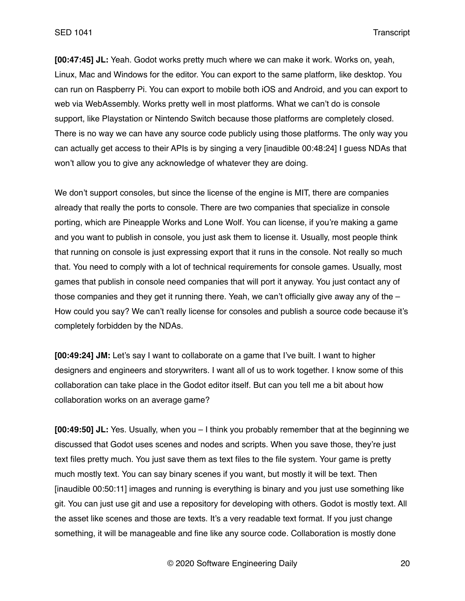**[00:47:45] JL:** Yeah. Godot works pretty much where we can make it work. Works on, yeah, Linux, Mac and Windows for the editor. You can export to the same platform, like desktop. You can run on Raspberry Pi. You can export to mobile both iOS and Android, and you can export to web via WebAssembly. Works pretty well in most platforms. What we can't do is console support, like Playstation or Nintendo Switch because those platforms are completely closed. There is no way we can have any source code publicly using those platforms. The only way you can actually get access to their APIs is by singing a very [inaudible 00:48:24] I guess NDAs that won't allow you to give any acknowledge of whatever they are doing.

We don't support consoles, but since the license of the engine is MIT, there are companies already that really the ports to console. There are two companies that specialize in console porting, which are Pineapple Works and Lone Wolf. You can license, if you're making a game and you want to publish in console, you just ask them to license it. Usually, most people think that running on console is just expressing export that it runs in the console. Not really so much that. You need to comply with a lot of technical requirements for console games. Usually, most games that publish in console need companies that will port it anyway. You just contact any of those companies and they get it running there. Yeah, we can't officially give away any of the  $-$ How could you say? We can't really license for consoles and publish a source code because it's completely forbidden by the NDAs.

**[00:49:24] JM:** Let's say I want to collaborate on a game that I've built. I want to higher designers and engineers and storywriters. I want all of us to work together. I know some of this collaboration can take place in the Godot editor itself. But can you tell me a bit about how collaboration works on an average game?

**[00:49:50] JL:** Yes. Usually, when you – I think you probably remember that at the beginning we discussed that Godot uses scenes and nodes and scripts. When you save those, they're just text files pretty much. You just save them as text files to the file system. Your game is pretty much mostly text. You can say binary scenes if you want, but mostly it will be text. Then [inaudible 00:50:11] images and running is everything is binary and you just use something like git. You can just use git and use a repository for developing with others. Godot is mostly text. All the asset like scenes and those are texts. It's a very readable text format. If you just change something, it will be manageable and fine like any source code. Collaboration is mostly done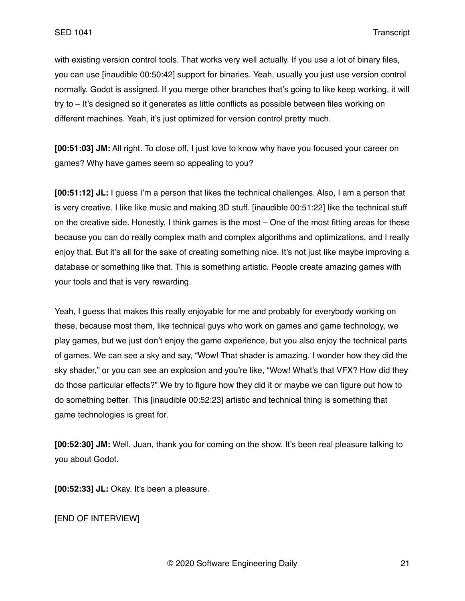with existing version control tools. That works very well actually. If you use a lot of binary files, you can use [inaudible 00:50:42] support for binaries. Yeah, usually you just use version control normally. Godot is assigned. If you merge other branches that's going to like keep working, it will try to – It's designed so it generates as little conflicts as possible between files working on different machines. Yeah, it's just optimized for version control pretty much.

**[00:51:03] JM:** All right. To close off, I just love to know why have you focused your career on games? Why have games seem so appealing to you?

**[00:51:12] JL:** I guess I'm a person that likes the technical challenges. Also, I am a person that is very creative. I like like music and making 3D stuff. [inaudible 00:51:22] like the technical stuff on the creative side. Honestly, I think games is the most – One of the most fitting areas for these because you can do really complex math and complex algorithms and optimizations, and I really enjoy that. But it's all for the sake of creating something nice. It's not just like maybe improving a database or something like that. This is something artistic. People create amazing games with your tools and that is very rewarding.

Yeah, I guess that makes this really enjoyable for me and probably for everybody working on these, because most them, like technical guys who work on games and game technology, we play games, but we just don't enjoy the game experience, but you also enjoy the technical parts of games. We can see a sky and say, "Wow! That shader is amazing. I wonder how they did the sky shader," or you can see an explosion and you're like, "Wow! What's that VFX? How did they do those particular effects?" We try to figure how they did it or maybe we can figure out how to do something better. This [inaudible 00:52:23] artistic and technical thing is something that game technologies is great for.

**[00:52:30] JM:** Well, Juan, thank you for coming on the show. It's been real pleasure talking to you about Godot.

**[00:52:33] JL:** Okay. It's been a pleasure.

[END OF INTERVIEW]